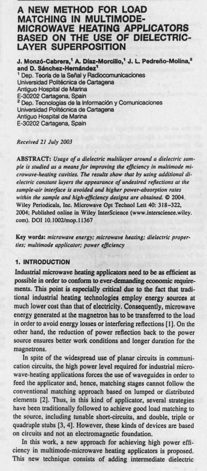# **A NEW METHOD FOR LOAD MATCHING IN MULTIMODE-MICROWAVE HEATING APPLICATORS BASED ON THE USE OF DIELECTRIC-**LAYER **SUPERPOSITION**

**J. Mono-Cabrera**; **A. Diaz-Morcillo**,' **J. L Pedrefio**-**Molina? and D**. **Sanchez**-**Hemindez'** ' Dep. Teoria **de la Serial** y Radiocomunicaciones **Universidad Politécnica de Cartagena** Antiguo Hospital **de Marina** E-30202 Cartagena, Spain <sup>2</sup> Dep. Tecnologías de la Información y Comunicaciones Universidad Politécnica de Cartagena Antiguo Hospital **de Marina** E-30202 Cartagena, Spain

### **Received** 21 July 2003

**ABSTRACT**: *Usage of a dielectric multilayer around a dielectric Sample is studied as a means for improving the efficiency* **in** *multimode* **mi***crowave-heating cavities. The results show that by using additional dielectric constant layers the appearance of undesired reflections at the sample-air interface is avoided and higher power -absorption rates within the sample and high-efficiency designs are obtained.* **0 2004 Wiley Periodicals**, **Inc. Microwave Opt Technol Lett 40**: **318-322, 2004**; **Published online in Wiley InterScience** (**www.interscienee.wiley. com). DOI 10. 1002**/**mop. 11367**

Key words: microwave energy; microwave heating; dielectric proper**ties: multimode applicator**; power efficiency

#### **1. INTRODUCTION**

**Industrial microwave heating applicators need to be as efficient as possible in order to conform to ever**-**demanding economic requirements**. This point **is especially critical due to the fact that traditional industrial heating technologies employ energy sources at** much lower cost than that of electricity. **Consequently**, microwave energy generated at the **magnetron** has to be transferred to the load in order to avoid **energy losses** or interfering reflections [I]. On the other hand, the reduction of power reflection back to the power source ensures better work **conditions and longer** duration for the magnetrons.

In spite of the widespread **use of planar** circuits in communication circuits, the high power level required for industrial microwave-heating applications forces the use of waveguides in order to feed the applicator and, hence, matching stages cannot follow the conventional matching approach based on lumped or distributed elements [2]. Thus, in this kind of applicator, several strategies have been traditionally followed to achieve good load matching to the source, including tunable short-circuits, and double, triple or quadruple stubs [3, 4]. However, these kinds of devices are based on circuits and not an electromagnetic foundation.

In this work, a new approach for achieving high power efficiency in multimode-microwave heating applicators is proposed. This new technique consists of adding intermediate dielectric